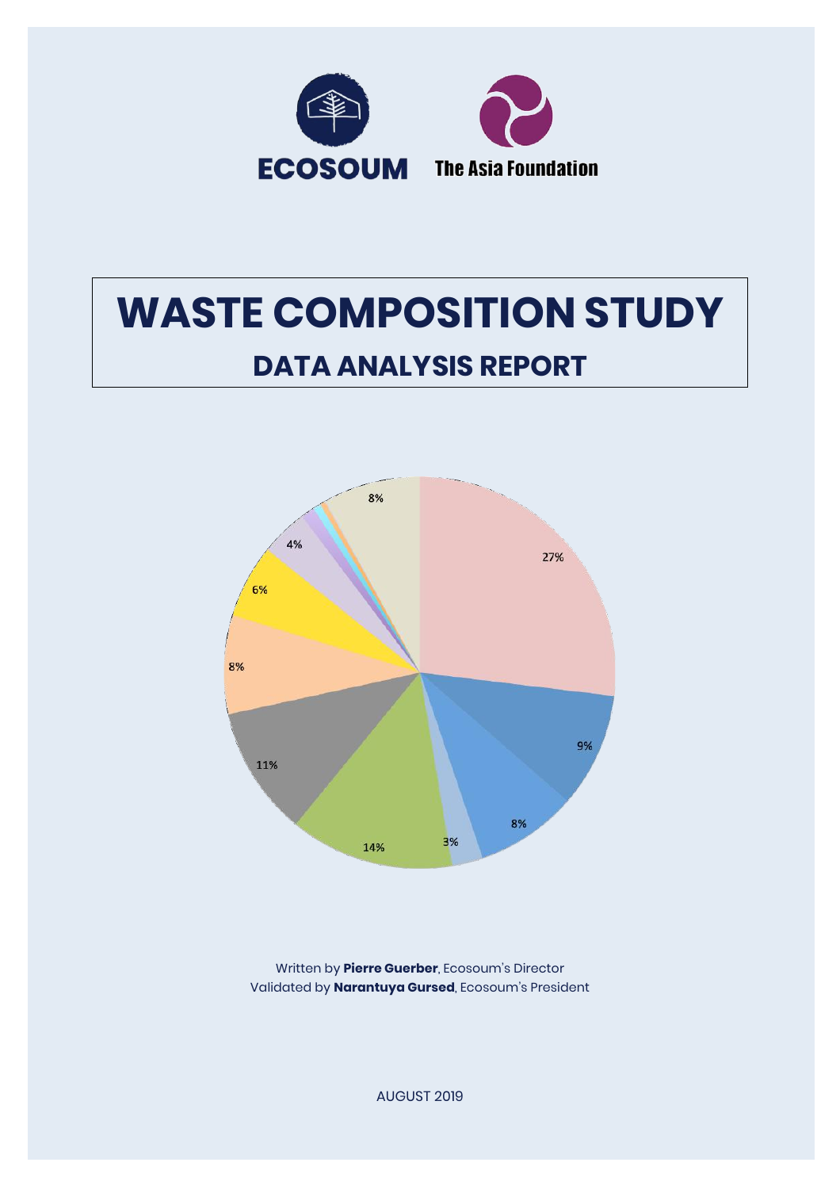

# **WASTE COMPOSITION STUDY DATA ANALYSIS REPORT**



Written by **Pierre Guerber**, Ecosoum's Director Validated by **Narantuya Gursed**, Ecosoum's President

AUGUST 2019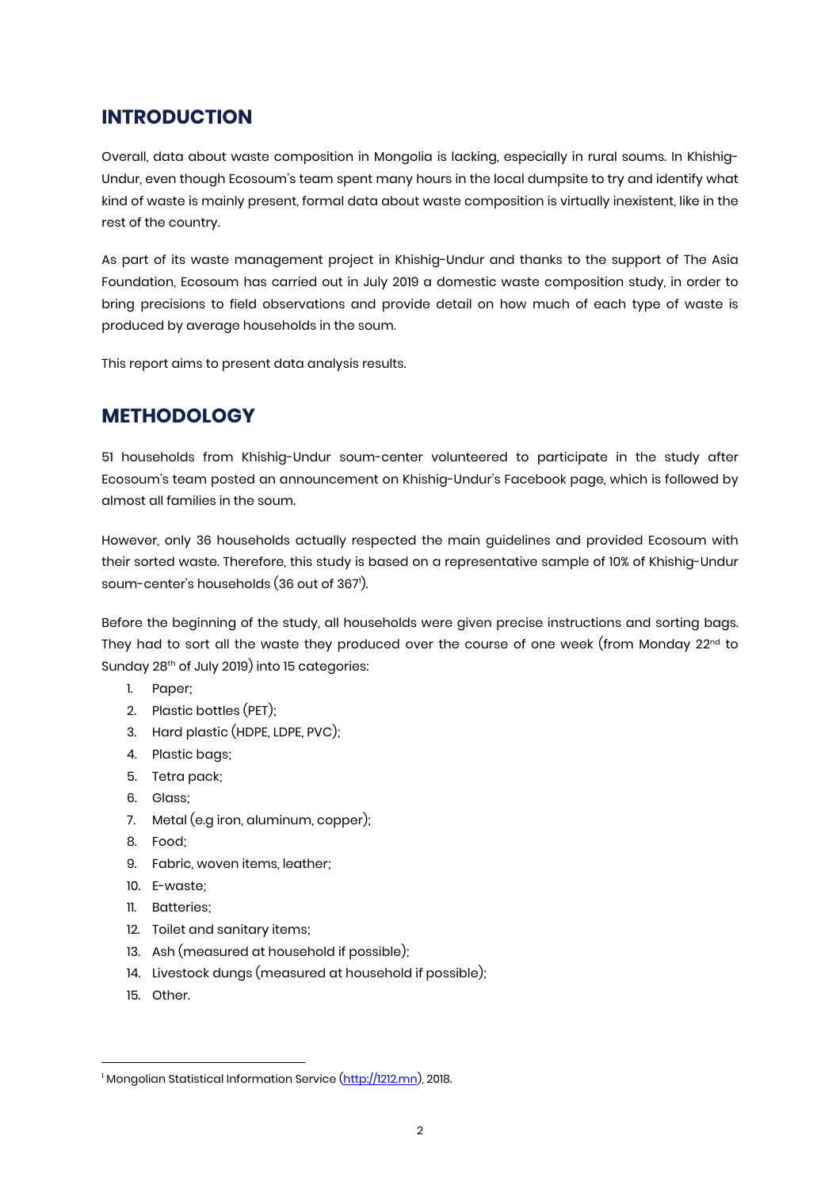# **INTRODUCTION**

Overall, data about waste composition in Mongolia is lacking, especially in rural soums. In Khishig-Undur, even though Ecosoum's team spent many hours in the local dumpsite to try and identify what kind of waste is mainly present, formal data about waste composition is virtually inexistent, like in the rest of the country.

As part of its waste management project in Khishig-Undur and thanks to the support of The Asia Foundation, Ecosoum has carried out in July 2019 a domestic waste composition study, in order to bring precisions to field observations and provide detail on how much of each type of waste is produced by average households in the soum.

This report aims to present data analysis results.

## **METHODOLOGY**

51 households from Khishig-Undur soum-center volunteered to participate in the study after Ecosoum's team posted an announcement on Khishig-Undur's Facebook page, which is followed by almost all families in the soum.

However, only 36 households actually respected the main guidelines and provided Ecosoum with their sorted waste. Therefore, this study is based on a representative sample of 10% of Khishig-Undur soum-center's households (36 out of 3671 ).

Before the beginning of the study, all households were given precise instructions and sorting bags. They had to sort all the waste they produced over the course of one week (from Monday  $22^{nd}$  to Sunday 28th of July 2019) into 15 categories:

- 1. Paper;
- 2. Plastic bottles (PET);
- 3. Hard plastic (HDPE, LDPE, PVC);
- 4. Plastic bags;
- 5. Tetra pack;
- 6. Glass;
- 7. Metal (e.g iron, aluminum, copper);
- 8. Food;
- 9. Fabric, woven items, leather;
- 10. E-waste;
- 11. Batteries;
- 12. Toilet and sanitary items;

 

- 13. Ash (measured at household if possible);
- 14. Livestock dungs (measured at household if possible);
- 15. Other.

<sup>&</sup>lt;sup>1</sup> Mongolian Statistical Information Service (http://1212.mn), 2018.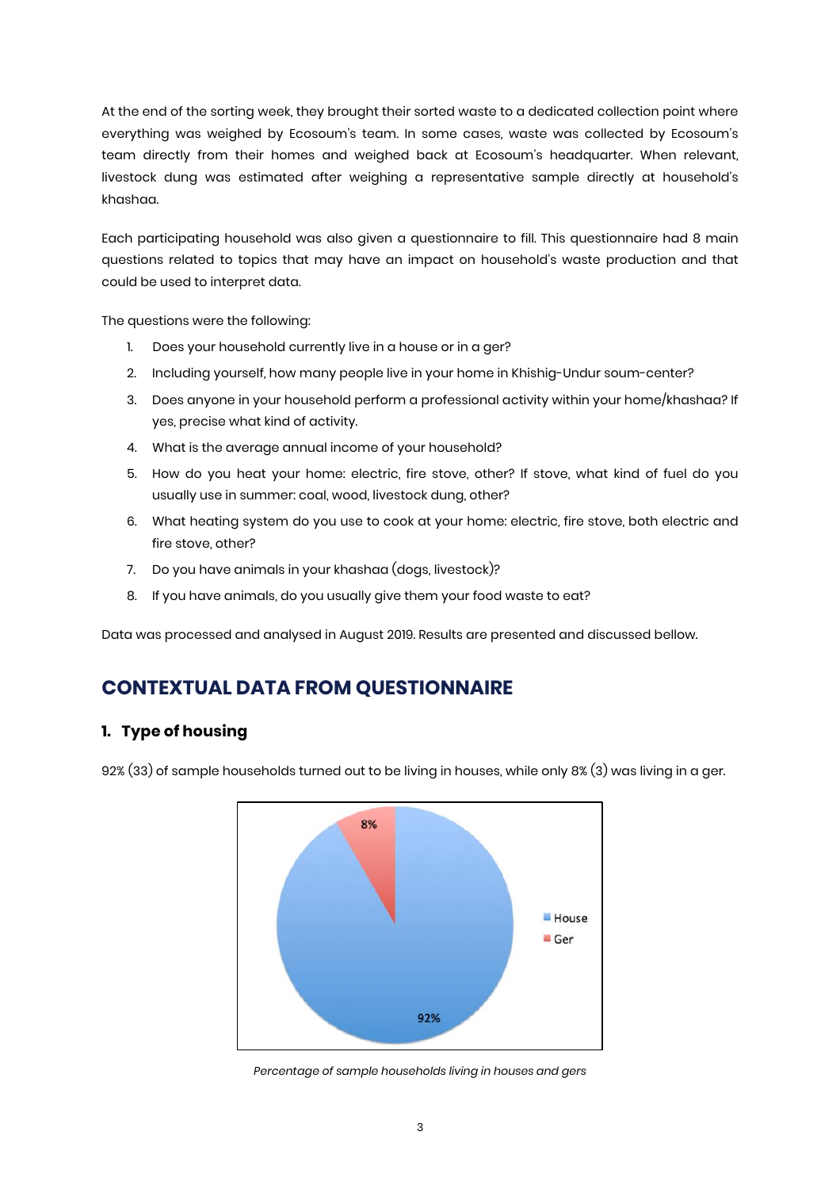At the end of the sorting week, they brought their sorted waste to a dedicated collection point where everything was weighed by Ecosoum's team. In some cases, waste was collected by Ecosoum's team directly from their homes and weighed back at Ecosoum's headquarter. When relevant, livestock dung was estimated after weighing a representative sample directly at household's khashaa.

Each participating household was also given a questionnaire to fill. This questionnaire had 8 main questions related to topics that may have an impact on household's waste production and that could be used to interpret data.

The questions were the following:

- 1. Does your household currently live in a house or in a ger?
- 2. Including yourself, how many people live in your home in Khishig-Undur soum-center?
- 3. Does anyone in your household perform a professional activity within your home/khashaa? If yes, precise what kind of activity.
- 4. What is the average annual income of your household?
- 5. How do you heat your home: electric, fire stove, other? If stove, what kind of fuel do you usually use in summer: coal, wood, livestock dung, other?
- 6. What heating system do you use to cook at your home: electric, fire stove, both electric and fire stove, other?
- 7. Do you have animals in your khashaa (dogs, livestock)?
- 8. If you have animals, do you usually give them your food waste to eat?

Data was processed and analysed in August 2019. Results are presented and discussed bellow.

# **CONTEXTUAL DATA FROM QUESTIONNAIRE**

#### **1. Type of housing**

92% (33) of sample households turned out to be living in houses, while only 8% (3) was living in a ger.



*Percentage of sample households living in houses and gers*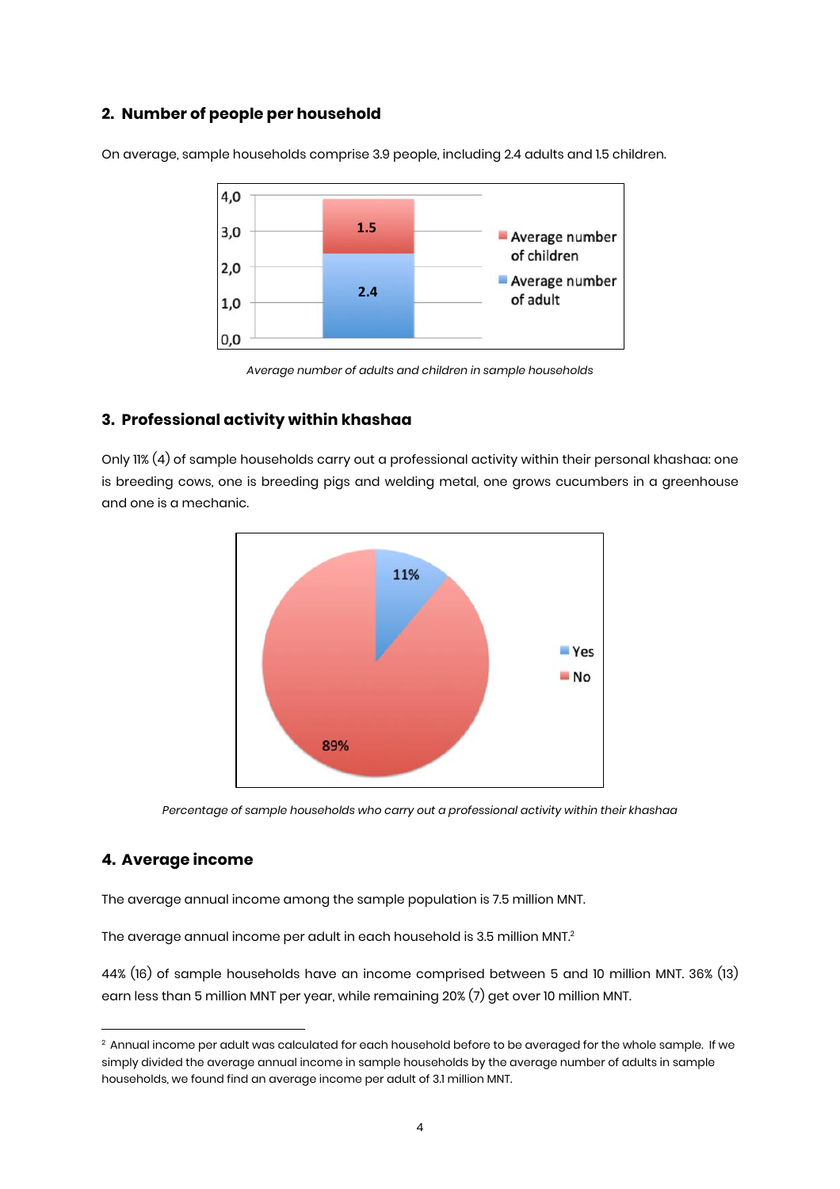#### **2. Number of people per household**

On average, sample households comprise 3.9 people, including 2.4 adults and 1.5 children.



*Average number of adults and children in sample households*

#### **3. Professional activity within khashaa**

Only 11% (4) of sample households carry out a professional activity within their personal khashaa: one is breeding cows, one is breeding pigs and welding metal, one grows cucumbers in a greenhouse and one is a mechanic.



*Percentage of sample households who carry out a professional activity within their khashaa*

#### **4. Average income**

 

The average annual income among the sample population is 7.5 million MNT.

The average annual income per adult in each household is 3.5 million MNT. $^{\rm 2}$ 

44% (16) of sample households have an income comprised between 5 and 10 million MNT. 36% (13) earn less than 5 million MNT per year, while remaining 20% (7) get over 10 million MNT.

 $2$  Annual income per adult was calculated for each household before to be averaged for the whole sample. If we simply divided the average annual income in sample households by the average number of adults in sample households, we found find an average income per adult of 3.1 million MNT.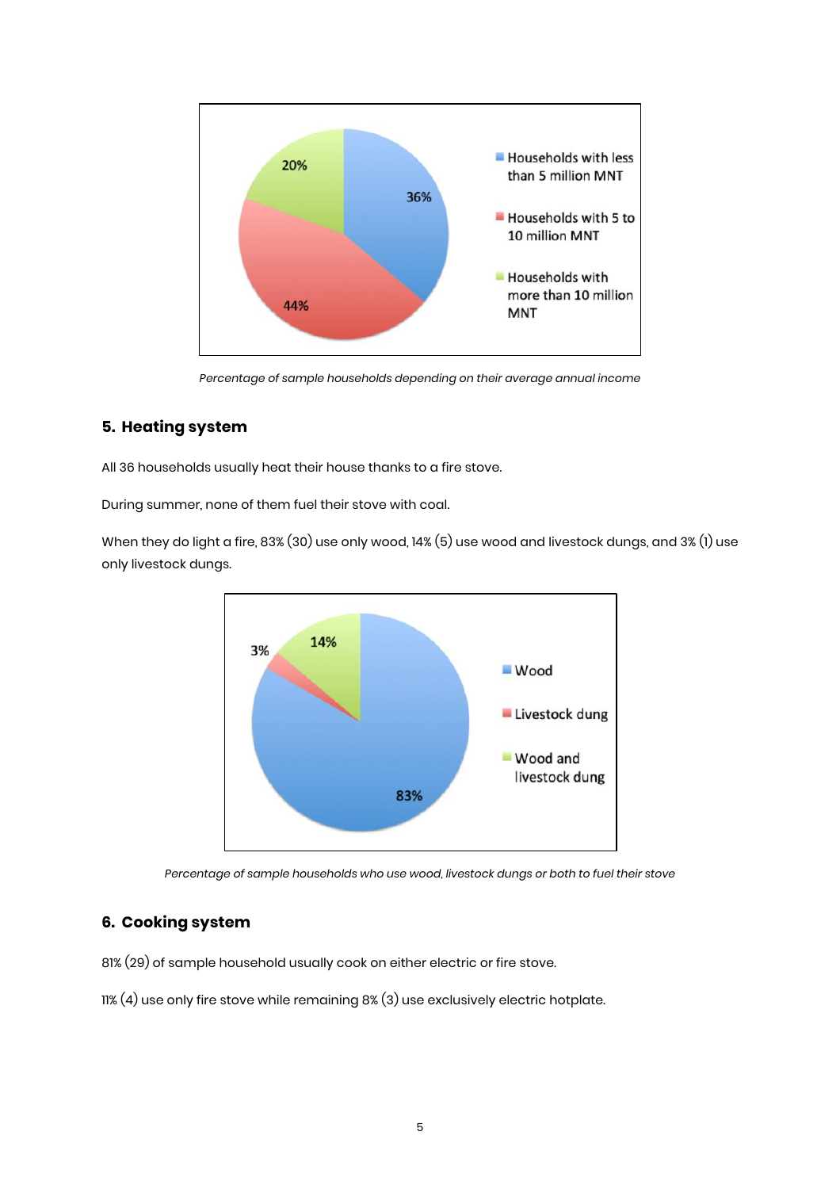

*Percentage of sample households depending on their average annual income*

#### **5. Heating system**

All 36 households usually heat their house thanks to a fire stove.

During summer, none of them fuel their stove with coal.

When they do light a fire, 83% (30) use only wood, 14% (5) use wood and livestock dungs, and 3% (1) use only livestock dungs.



*Percentage of sample households who use wood, livestock dungs or both to fuel their stove*

#### **6. Cooking system**

81% (29) of sample household usually cook on either electric or fire stove.

11% (4) use only fire stove while remaining 8% (3) use exclusively electric hotplate.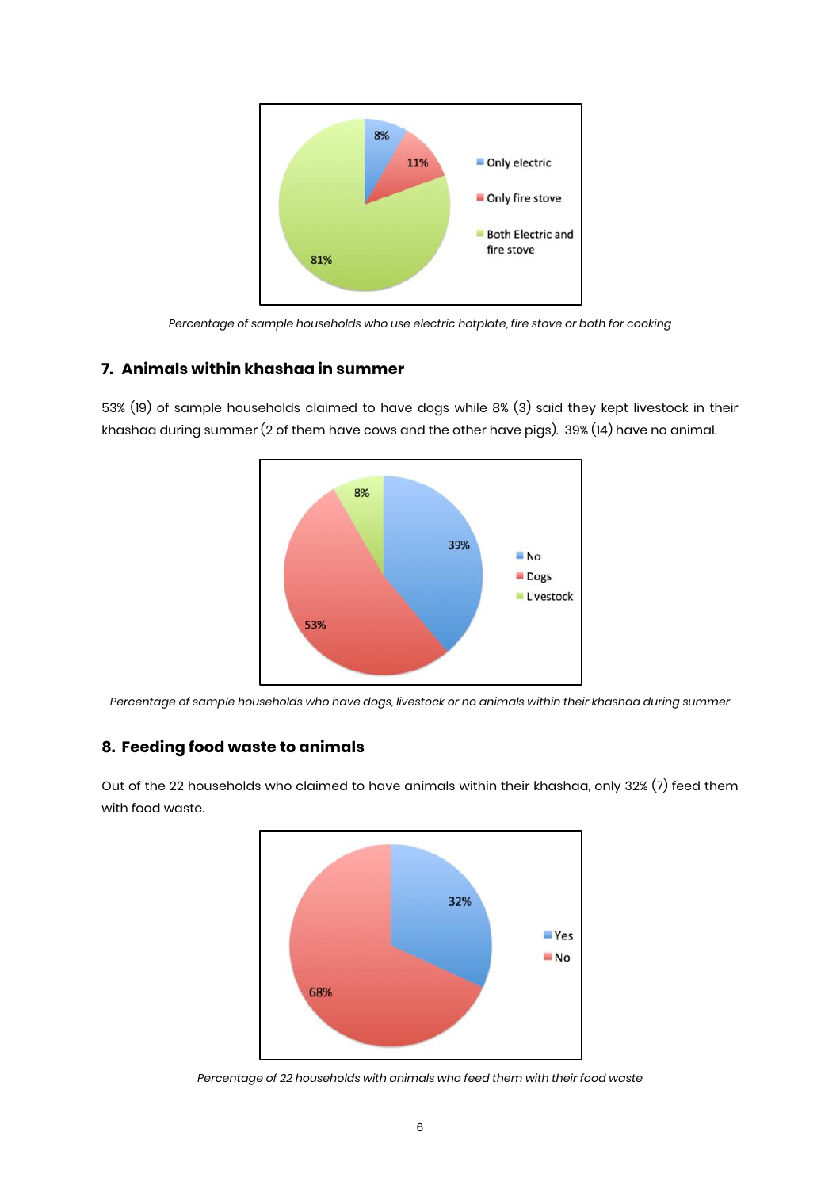

*Percentage of sample households who use electric hotplate, fire stove or both for cooking*

#### **7. Animals within khashaa in summer**

53% (19) of sample households claimed to have dogs while 8% (3) said they kept livestock in their khashaa during summer (2 of them have cows and the other have pigs). 39% (14) have no animal.



*Percentage of sample households who have dogs, livestock or no animals within their khashaa during summer*

#### **8. Feeding food waste to animals**

Out of the 22 households who claimed to have animals within their khashaa, only 32% (7) feed them with food waste.



*Percentage of 22 households with animals who feed them with their food waste*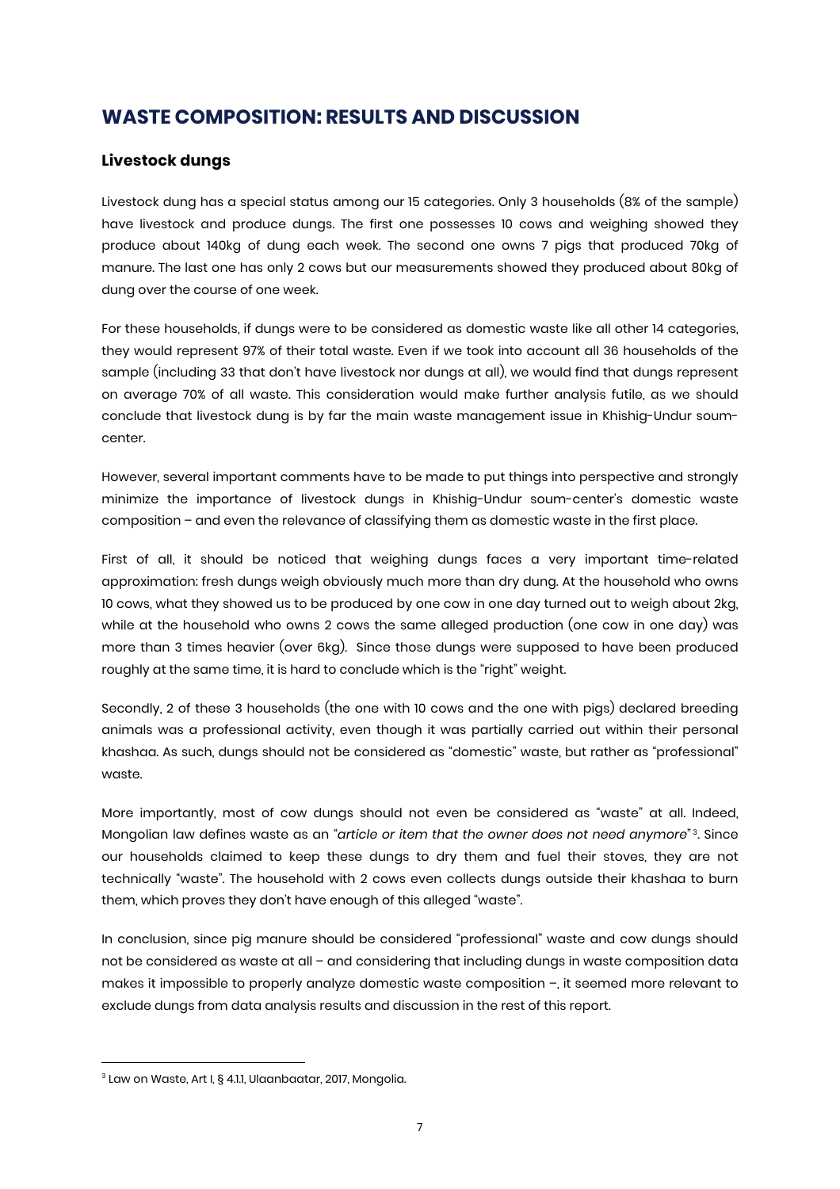# **WASTE COMPOSITION: RESULTS AND DISCUSSION**

#### **Livestock dungs**

Livestock dung has a special status among our 15 categories. Only 3 households (8% of the sample) have livestock and produce dungs. The first one possesses 10 cows and weighing showed they produce about 140kg of dung each week. The second one owns 7 pigs that produced 70kg of manure. The last one has only 2 cows but our measurements showed they produced about 80kg of dung over the course of one week.

For these households, if dungs were to be considered as domestic waste like all other 14 categories, they would represent 97% of their total waste. Even if we took into account all 36 households of the sample (including 33 that don't have livestock nor dungs at all), we would find that dungs represent on average 70% of all waste. This consideration would make further analysis futile, as we should conclude that livestock dung is by far the main waste management issue in Khishig-Undur soumcenter.

However, several important comments have to be made to put things into perspective and strongly minimize the importance of livestock dungs in Khishig-Undur soum-center's domestic waste composition – and even the relevance of classifying them as domestic waste in the first place.

First of all, it should be noticed that weighing dungs faces a very important time-related approximation: fresh dungs weigh obviously much more than dry dung. At the household who owns 10 cows, what they showed us to be produced by one cow in one day turned out to weigh about 2kg, while at the household who owns 2 cows the same alleged production (one cow in one day) was more than 3 times heavier (over 6kg). Since those dungs were supposed to have been produced roughly at the same time, it is hard to conclude which is the "right" weight.

Secondly, 2 of these 3 households (the one with 10 cows and the one with pigs) declared breeding animals was a professional activity, even though it was partially carried out within their personal khashaa. As such, dungs should not be considered as "domestic" waste, but rather as "professional" waste.

More importantly, most of cow dungs should not even be considered as "waste" at all. Indeed, Mongolian law defines waste as an "*article or item that the owner does not need anymore*"<sup>3</sup>. Since our households claimed to keep these dungs to dry them and fuel their stoves, they are not technically "waste". The household with 2 cows even collects dungs outside their khashaa to burn them, which proves they don't have enough of this alleged "waste".

In conclusion, since pig manure should be considered "professional" waste and cow dungs should not be considered as waste at all – and considering that including dungs in waste composition data makes it impossible to properly analyze domestic waste composition –, it seemed more relevant to exclude dungs from data analysis results and discussion in the rest of this report.

 

<sup>3</sup> Law on Waste, Art I, § 4.1.1, Ulaanbaatar, 2017, Mongolia.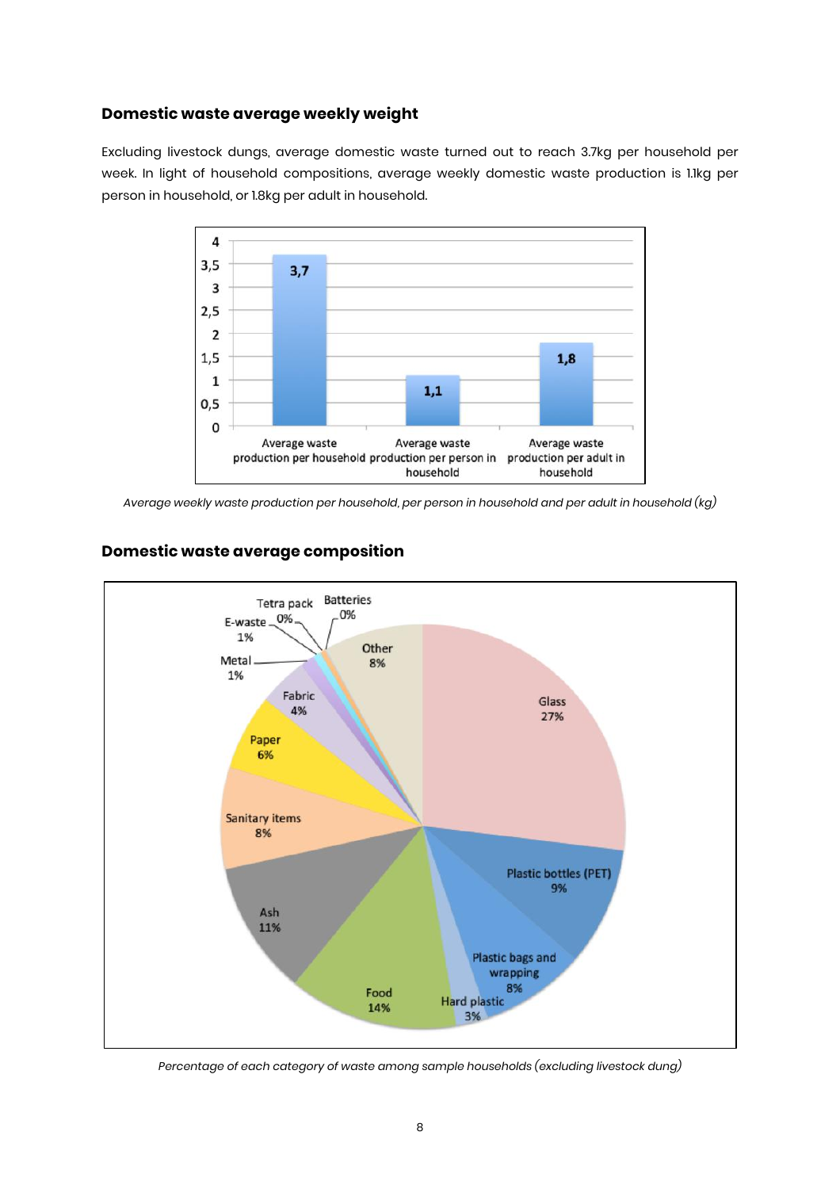#### **Domestic waste average weekly weight**

Excluding livestock dungs, average domestic waste turned out to reach 3.7kg per household per week. In light of household compositions, average weekly domestic waste production is 1.1kg per person in household, or 1.8kg per adult in household.



*Average weekly waste production per household, per person in household and per adult in household (kg)*



#### **Domestic waste average composition**

*Percentage of each category of waste among sample households (excluding livestock dung)*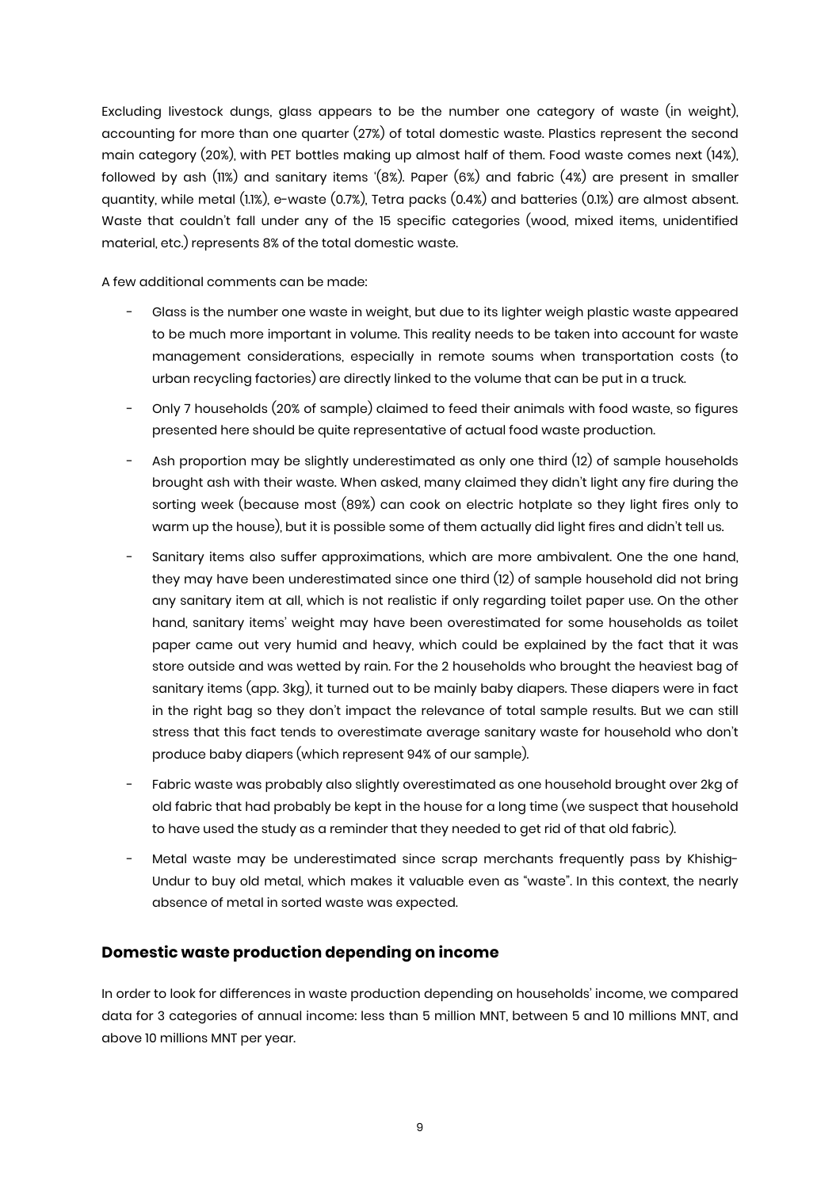Excluding livestock dungs, glass appears to be the number one category of waste (in weight), accounting for more than one quarter (27%) of total domestic waste. Plastics represent the second main category (20%), with PET bottles making up almost half of them. Food waste comes next (14%), followed by ash (11%) and sanitary items '(8%). Paper (6%) and fabric (4%) are present in smaller quantity, while metal (1.1%), e-waste (0.7%), Tetra packs (0.4%) and batteries (0.1%) are almost absent. Waste that couldn't fall under any of the 15 specific categories (wood, mixed items, unidentified material, etc.) represents 8% of the total domestic waste.

A few additional comments can be made:

- Glass is the number one waste in weight, but due to its lighter weigh plastic waste appeared to be much more important in volume. This reality needs to be taken into account for waste management considerations, especially in remote soums when transportation costs (to urban recycling factories) are directly linked to the volume that can be put in a truck.
- Only 7 households (20% of sample) claimed to feed their animals with food waste, so figures presented here should be quite representative of actual food waste production.
- Ash proportion may be slightly underestimated as only one third (12) of sample households brought ash with their waste. When asked, many claimed they didn't light any fire during the sorting week (because most (89%) can cook on electric hotplate so they light fires only to warm up the house), but it is possible some of them actually did light fires and didn't tell us.
- Sanitary items also suffer approximations, which are more ambivalent. One the one hand, they may have been underestimated since one third (12) of sample household did not bring any sanitary item at all, which is not realistic if only regarding toilet paper use. On the other hand, sanitary items' weight may have been overestimated for some households as toilet paper came out very humid and heavy, which could be explained by the fact that it was store outside and was wetted by rain. For the 2 households who brought the heaviest bag of sanitary items (app. 3kg), it turned out to be mainly baby diapers. These diapers were in fact in the right bag so they don't impact the relevance of total sample results. But we can still stress that this fact tends to overestimate average sanitary waste for household who don't produce baby diapers (which represent 94% of our sample).
- Fabric waste was probably also slightly overestimated as one household brought over 2kg of old fabric that had probably be kept in the house for a long time (we suspect that household to have used the study as a reminder that they needed to get rid of that old fabric).
- Metal waste may be underestimated since scrap merchants frequently pass by Khishig-Undur to buy old metal, which makes it valuable even as "waste". In this context, the nearly absence of metal in sorted waste was expected.

#### **Domestic waste production depending on income**

In order to look for differences in waste production depending on households' income, we compared data for 3 categories of annual income: less than 5 million MNT, between 5 and 10 millions MNT, and above 10 millions MNT per year.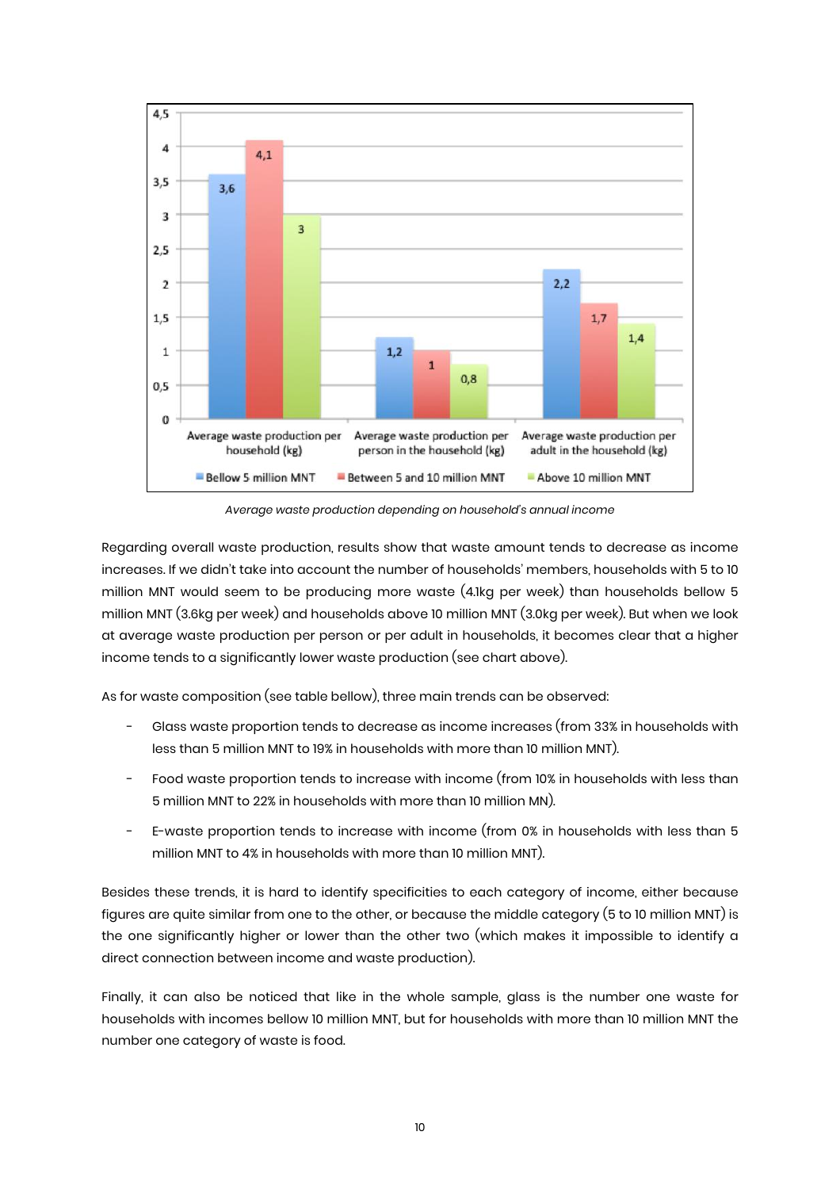

*Average waste production depending on household's annual income*

Regarding overall waste production, results show that waste amount tends to decrease as income increases. If we didn't take into account the number of households' members, households with 5 to 10 million MNT would seem to be producing more waste (4.1kg per week) than households bellow 5 million MNT (3.6kg per week) and households above 10 million MNT (3.0kg per week). But when we look at average waste production per person or per adult in households, it becomes clear that a higher income tends to a significantly lower waste production (see chart above).

As for waste composition (see table bellow), three main trends can be observed:

- Glass waste proportion tends to decrease as income increases (from 33% in households with less than 5 million MNT to 19% in households with more than 10 million MNT).
- Food waste proportion tends to increase with income (from 10% in households with less than 5 million MNT to 22% in households with more than 10 million MN).
- E-waste proportion tends to increase with income (from 0% in households with less than 5 million MNT to 4% in households with more than 10 million MNT).

Besides these trends, it is hard to identify specificities to each category of income, either because figures are quite similar from one to the other, or because the middle category (5 to 10 million MNT) is the one significantly higher or lower than the other two (which makes it impossible to identify a direct connection between income and waste production).

Finally, it can also be noticed that like in the whole sample, glass is the number one waste for households with incomes bellow 10 million MNT, but for households with more than 10 million MNT the number one category of waste is food.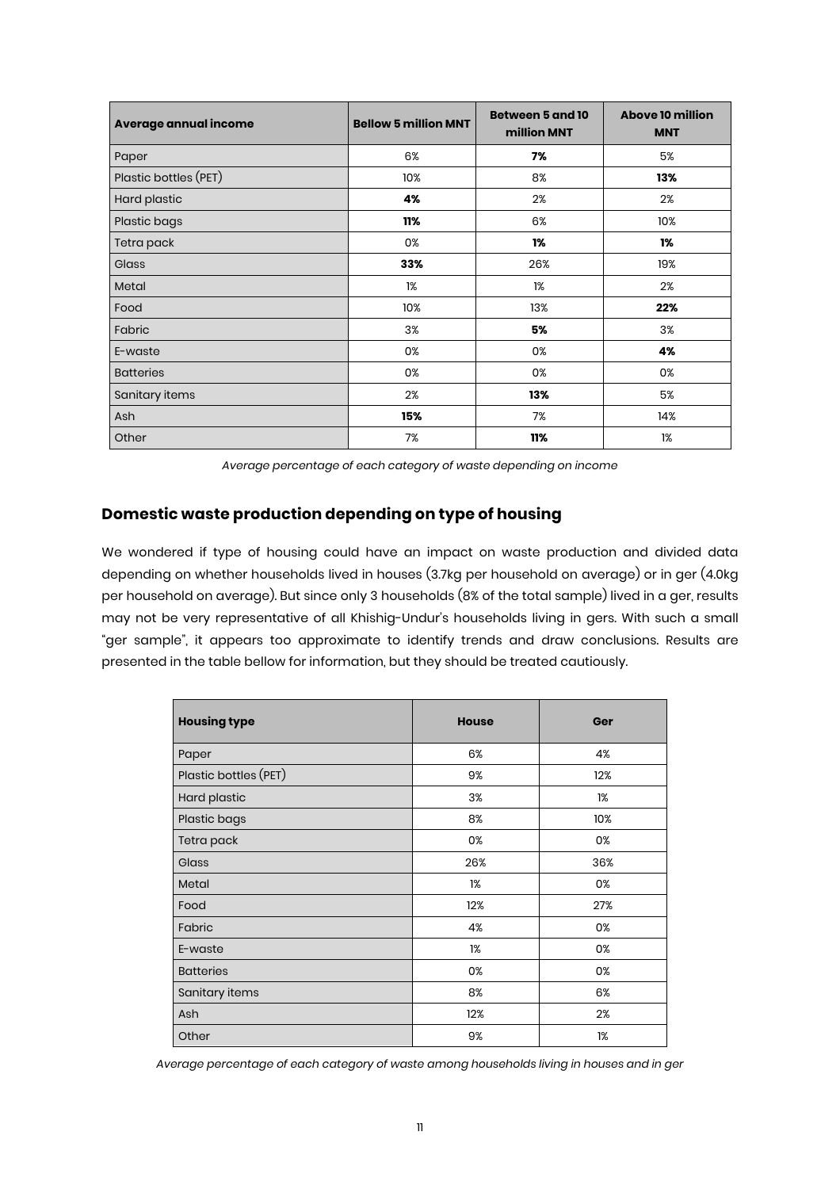| Average annual income | <b>Bellow 5 million MNT</b> | <b>Between 5 and 10</b><br>million MNT | <b>Above 10 million</b><br><b>MNT</b> |
|-----------------------|-----------------------------|----------------------------------------|---------------------------------------|
| Paper                 | 6%                          | 7%                                     | 5%                                    |
| Plastic bottles (PET) | 10%                         | 8%                                     | 13%                                   |
| <b>Hard plastic</b>   | 4%                          | 2%                                     | 2%                                    |
| Plastic bags          | 11%                         | 6%                                     | 10%                                   |
| Tetra pack            | 0%                          | 1%                                     | 1%                                    |
| Glass                 | 33%                         | 26%                                    | 19%                                   |
| Metal                 | 1%                          | 1%                                     | 2%                                    |
| Food                  | 10%                         | 13%                                    | 22%                                   |
| Fabric                | 3%                          | 5%                                     | 3%                                    |
| E-waste               | 0%                          | 0%                                     | 4%                                    |
| <b>Batteries</b>      | 0%                          | 0%                                     | 0%                                    |
| Sanitary items        | 2%                          | 13%                                    | 5%                                    |
| Ash                   | 15%                         | 7%                                     | 14%                                   |
| Other                 | 7%                          | 11%                                    | 1%                                    |

*Average percentage of each category of waste depending on income*

#### **Domestic waste production depending on type of housing**

We wondered if type of housing could have an impact on waste production and divided data depending on whether households lived in houses (3.7kg per household on average) or in ger (4.0kg per household on average). But since only 3 households (8% of the total sample) lived in a ger, results may not be very representative of all Khishig-Undur's households living in gers. With such a small "ger sample", it appears too approximate to identify trends and draw conclusions. Results are presented in the table bellow for information, but they should be treated cautiously.

| <b>Housing type</b>   | <b>House</b> | Ger |
|-----------------------|--------------|-----|
| Paper                 | 6%           | 4%  |
| Plastic bottles (PET) | 9%           | 12% |
| Hard plastic          | 3%           | 1%  |
| Plastic bags          | 8%           | 10% |
| Tetra pack            | 0%           | 0%  |
| Glass                 | 26%          | 36% |
| Metal                 | 1%           | 0%  |
| Food                  | 12%          | 27% |
| Fabric                | 4%           | 0%  |
| E-waste               | 1%           | 0%  |
| <b>Batteries</b>      | 0%           | 0%  |
| Sanitary items        | 8%           | 6%  |
| Ash                   | 12%          | 2%  |
| Other                 | 9%           | 1%  |

*Average percentage of each category of waste among households living in houses and in ger*